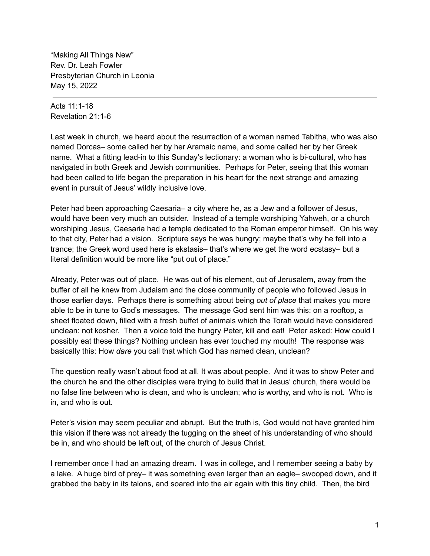"Making All Things New" Rev. Dr. Leah Fowler Presbyterian Church in Leonia May 15, 2022

Acts 11:1-18 Revelation 21:1-6

Last week in church, we heard about the resurrection of a woman named Tabitha, who was also named Dorcas– some called her by her Aramaic name, and some called her by her Greek name. What a fitting lead-in to this Sunday's lectionary: a woman who is bi-cultural, who has navigated in both Greek and Jewish communities. Perhaps for Peter, seeing that this woman had been called to life began the preparation in his heart for the next strange and amazing event in pursuit of Jesus' wildly inclusive love.

Peter had been approaching Caesaria– a city where he, as a Jew and a follower of Jesus, would have been very much an outsider. Instead of a temple worshiping Yahweh, or a church worshiping Jesus, Caesaria had a temple dedicated to the Roman emperor himself. On his way to that city, Peter had a vision. Scripture says he was hungry; maybe that's why he fell into a trance; the Greek word used here is ekstasis– that's where we get the word ecstasy– but a literal definition would be more like "put out of place."

Already, Peter was out of place. He was out of his element, out of Jerusalem, away from the buffer of all he knew from Judaism and the close community of people who followed Jesus in those earlier days. Perhaps there is something about being *out of place* that makes you more able to be in tune to God's messages. The message God sent him was this: on a rooftop, a sheet floated down, filled with a fresh buffet of animals which the Torah would have considered unclean: not kosher. Then a voice told the hungry Peter, kill and eat! Peter asked: How could I possibly eat these things? Nothing unclean has ever touched my mouth! The response was basically this: How *dare* you call that which God has named clean, unclean?

The question really wasn't about food at all. It was about people. And it was to show Peter and the church he and the other disciples were trying to build that in Jesus' church, there would be no false line between who is clean, and who is unclean; who is worthy, and who is not. Who is in, and who is out.

Peter's vision may seem peculiar and abrupt. But the truth is, God would not have granted him this vision if there was not already the tugging on the sheet of his understanding of who should be in, and who should be left out, of the church of Jesus Christ.

I remember once I had an amazing dream. I was in college, and I remember seeing a baby by a lake. A huge bird of prey– it was something even larger than an eagle– swooped down, and it grabbed the baby in its talons, and soared into the air again with this tiny child. Then, the bird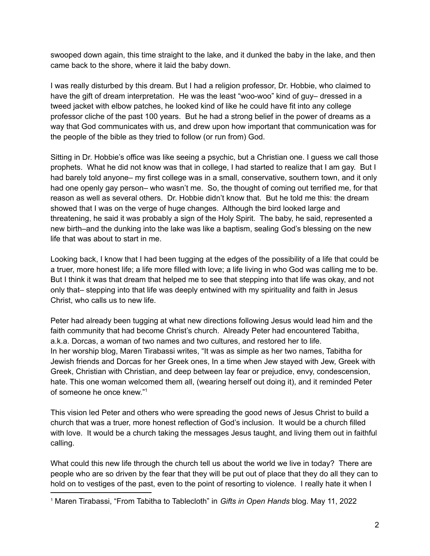swooped down again, this time straight to the lake, and it dunked the baby in the lake, and then came back to the shore, where it laid the baby down.

I was really disturbed by this dream. But I had a religion professor, Dr. Hobbie, who claimed to have the gift of dream interpretation. He was the least "woo-woo" kind of guy– dressed in a tweed jacket with elbow patches, he looked kind of like he could have fit into any college professor cliche of the past 100 years. But he had a strong belief in the power of dreams as a way that God communicates with us, and drew upon how important that communication was for the people of the bible as they tried to follow (or run from) God.

Sitting in Dr. Hobbie's office was like seeing a psychic, but a Christian one. I guess we call those prophets. What he did not know was that in college, I had started to realize that I am gay. But I had barely told anyone– my first college was in a small, conservative, southern town, and it only had one openly gay person– who wasn't me. So, the thought of coming out terrified me, for that reason as well as several others. Dr. Hobbie didn't know that. But he told me this: the dream showed that I was on the verge of huge changes. Although the bird looked large and threatening, he said it was probably a sign of the Holy Spirit. The baby, he said, represented a new birth–and the dunking into the lake was like a baptism, sealing God's blessing on the new life that was about to start in me.

Looking back, I know that I had been tugging at the edges of the possibility of a life that could be a truer, more honest life; a life more filled with love; a life living in who God was calling me to be. But I think it was that dream that helped me to see that stepping into that life was okay, and not only that– stepping into that life was deeply entwined with my spirituality and faith in Jesus Christ, who calls us to new life.

Peter had already been tugging at what new directions following Jesus would lead him and the faith community that had become Christ's church. Already Peter had encountered Tabitha, a.k.a. Dorcas, a woman of two names and two cultures, and restored her to life. In her worship blog, Maren Tirabassi writes, "It was as simple as her two names, Tabitha for Jewish friends and Dorcas for her Greek ones, In a time when Jew stayed with Jew, Greek with Greek, Christian with Christian, and deep between lay fear or prejudice, envy, condescension, hate. This one woman welcomed them all, (wearing herself out doing it), and it reminded Peter of someone he once knew." 1

This vision led Peter and others who were spreading the good news of Jesus Christ to build a church that was a truer, more honest reflection of God's inclusion. It would be a church filled with love. It would be a church taking the messages Jesus taught, and living them out in faithful calling.

What could this new life through the church tell us about the world we live in today? There are people who are so driven by the fear that they will be put out of place that they do all they can to hold on to vestiges of the past, even to the point of resorting to violence. I really hate it when I

<sup>1</sup> Maren Tirabassi, "From Tabitha to Tablecloth" in *Gifts in Open Hands* blog. May 11, 2022